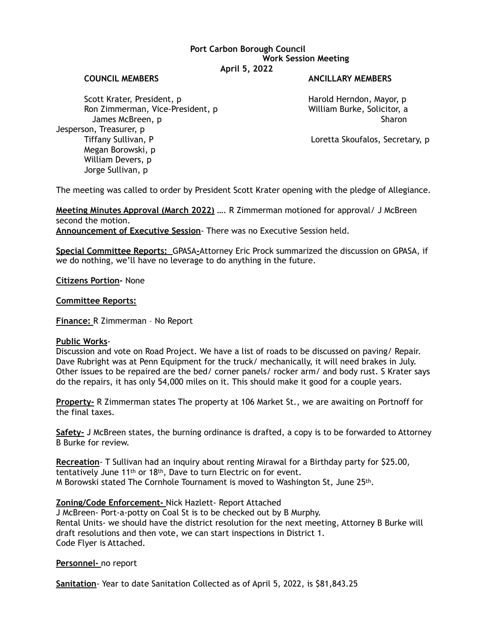## **Port Carbon Borough Council Work Session Meeting April 5, 2022**

#### **COUNCIL MEMBERS ANCILLARY MEMBERS**

Scott Krater, President, p<br>
Ron Zimmerman, Vice-President, p<br>
William Burke, Solicitor, a Ron Zimmerman, Vice-President, p James McBreen, p Sharon Sharon Sharon Sharon Sharon Sharon Sharon Sharon Sharon Sharon Sharon Sharon Sharon Sharon Jesperson, Treasurer, p Tiffany Sullivan, P Loretta Skoufalos, Secretary, p Megan Borowski, p William Devers, p Jorge Sullivan, p

The meeting was called to order by President Scott Krater opening with the pledge of Allegiance.

**Meeting Minutes Approval (March 2022)** …. R Zimmerman motioned for approval/ J McBreen second the motion. **Announcement of Executive Session**- There was no Executive Session held.

**Special Committee Reports:** GPASA**-**Attorney Eric Prock summarized the discussion on GPASA, if we do nothing, we'll have no leverage to do anything in the future.

**Citizens Portion-** None

**Committee Reports:** 

**Finance:** R Zimmerman – No Report

### **Public Works**-

Discussion and vote on Road Project. We have a list of roads to be discussed on paving/ Repair. Dave Rubright was at Penn Equipment for the truck/ mechanically, it will need brakes in July. Other issues to be repaired are the bed/ corner panels/ rocker arm/ and body rust. S Krater says do the repairs, it has only 54,000 miles on it. This should make it good for a couple years.

**Property-** R Zimmerman states The property at 106 Market St., we are awaiting on Portnoff for the final taxes.

**Safety-** J McBreen states, the burning ordinance is drafted, a copy is to be forwarded to Attorney B Burke for review.

**Recreation**- T Sullivan had an inquiry about renting Mirawal for a Birthday party for \$25.00, tentatively June 11th or 18th, Dave to turn Electric on for event. M Borowski stated The Cornhole Tournament is moved to Washington St, June 25th.

### **Zoning/Code Enforcement-** Nick Hazlett- Report Attached

J McBreen- Port-a-potty on Coal St is to be checked out by B Murphy. Rental Units- we should have the district resolution for the next meeting, Attorney B Burke will draft resolutions and then vote, we can start inspections in District 1. Code Flyer is Attached.

### **Personnel-** no report

**Sanitation**- Year to date Sanitation Collected as of April 5, 2022, is \$81,843.25